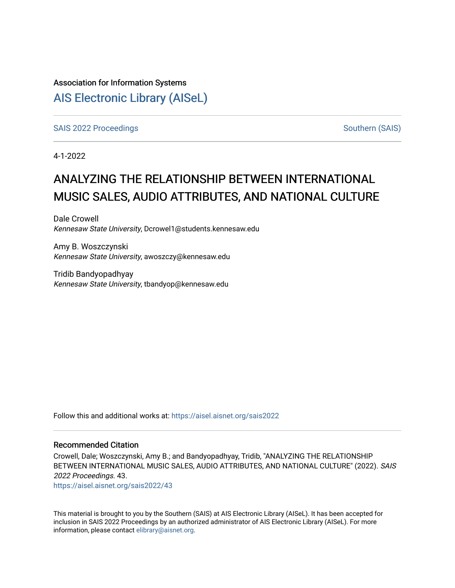# Association for Information Systems [AIS Electronic Library \(AISeL\)](https://aisel.aisnet.org/)

[SAIS 2022 Proceedings](https://aisel.aisnet.org/sais2022) [Southern \(SAIS\)](https://aisel.aisnet.org/sais) Southern (SAIS)

4-1-2022

# ANALYZING THE RELATIONSHIP BETWEEN INTERNATIONAL MUSIC SALES, AUDIO ATTRIBUTES, AND NATIONAL CULTURE

Dale Crowell Kennesaw State University, Dcrowel1@students.kennesaw.edu

Amy B. Woszczynski Kennesaw State University, awoszczy@kennesaw.edu

Tridib Bandyopadhyay Kennesaw State University, tbandyop@kennesaw.edu

Follow this and additional works at: [https://aisel.aisnet.org/sais2022](https://aisel.aisnet.org/sais2022?utm_source=aisel.aisnet.org%2Fsais2022%2F43&utm_medium=PDF&utm_campaign=PDFCoverPages) 

# Recommended Citation

Crowell, Dale; Woszczynski, Amy B.; and Bandyopadhyay, Tridib, "ANALYZING THE RELATIONSHIP BETWEEN INTERNATIONAL MUSIC SALES, AUDIO ATTRIBUTES, AND NATIONAL CULTURE" (2022). SAIS 2022 Proceedings. 43.

[https://aisel.aisnet.org/sais2022/43](https://aisel.aisnet.org/sais2022/43?utm_source=aisel.aisnet.org%2Fsais2022%2F43&utm_medium=PDF&utm_campaign=PDFCoverPages)

This material is brought to you by the Southern (SAIS) at AIS Electronic Library (AISeL). It has been accepted for inclusion in SAIS 2022 Proceedings by an authorized administrator of AIS Electronic Library (AISeL). For more information, please contact [elibrary@aisnet.org.](mailto:elibrary@aisnet.org%3E)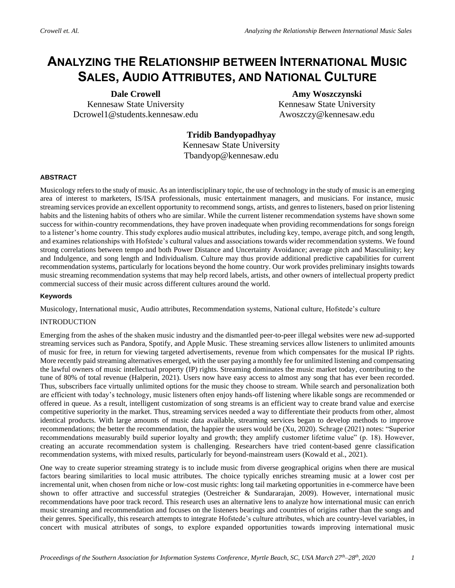# **ANALYZING THE RELATIONSHIP BETWEEN INTERNATIONAL MUSIC SALES, AUDIO ATTRIBUTES, AND NATIONAL CULTURE**

**Dale Crowell** Kennesaw State University Dcrowel1@students.kennesaw.edu

**Amy Woszczynski** Kennesaw State University Awoszczy@kennesaw.edu

**Tridib Bandyopadhyay** Kennesaw State University Tbandyop@kennesaw.edu

# **ABSTRACT**

Musicology refers to the study of music. As an interdisciplinary topic, the use of technology in the study of music is an emerging area of interest to marketers, IS/ISA professionals, music entertainment managers, and musicians. For instance, music streaming services provide an excellent opportunity to recommend songs, artists, and genres to listeners, based on prior listening habits and the listening habits of others who are similar. While the current listener recommendation systems have shown some success for within-country recommendations, they have proven inadequate when providing recommendations for songs foreign to a listener's home country. This study explores audio musical attributes, including key, tempo, average pitch, and song length, and examines relationships with Hofstede's cultural values and associations towards wider recommendation systems. We found strong correlations between tempo and both Power Distance and Uncertainty Avoidance; average pitch and Masculinity; key and Indulgence, and song length and Individualism. Culture may thus provide additional predictive capabilities for current recommendation systems, particularly for locations beyond the home country. Our work provides preliminary insights towards music streaming recommendation systems that may help record labels, artists, and other owners of intellectual property predict commercial success of their music across different cultures around the world.

#### **Keywords**

Musicology, International music, Audio attributes, Recommendation systems, National culture, Hofstede's culture

#### INTRODUCTION

Emerging from the ashes of the shaken music industry and the dismantled peer-to-peer illegal websites were new ad-supported streaming services such as Pandora, Spotify, and Apple Music. These streaming services allow listeners to unlimited amounts of music for free, in return for viewing targeted advertisements, revenue from which compensates for the musical IP rights. More recently paid streaming alternatives emerged, with the user paying a monthly fee for unlimited listening and compensating the lawful owners of music intellectual property (IP) rights. Streaming dominates the music market today, contributing to the tune of 80% of total revenue (Halperin, 2021). Users now have easy access to almost any song that has ever been recorded. Thus, subscribers face virtually unlimited options for the music they choose to stream. While search and personalization both are efficient with today's technology, music listeners often enjoy hands-off listening where likable songs are recommended or offered in queue. As a result, intelligent customization of song streams is an efficient way to create brand value and exercise competitive superiority in the market. Thus, streaming services needed a way to differentiate their products from other, almost identical products. With large amounts of music data available, streaming services began to develop methods to improve recommendations; the better the recommendation, the happier the users would be (Xu, 2020). Schrage (2021) notes: "Superior recommendations measurably build superior loyalty and growth; they amplify customer lifetime value" (p. 18). However, creating an accurate recommendation system is challenging. Researchers have tried content-based genre classification recommendation systems, with mixed results, particularly for beyond-mainstream users (Kowald et al., 2021).

One way to create superior streaming strategy is to include music from diverse geographical origins when there are musical factors bearing similarities to local music attributes. The choice typically enriches streaming music at a lower cost per incremental unit, when chosen from niche or low-cost music rights: long tail marketing opportunities in e-commerce have been shown to offer attractive and successful strategies (Oestreicher & Sundararajan, 2009). However, international music recommendations have poor track record. This research uses an alternative lens to analyze how international music can enrich music streaming and recommendation and focuses on the listeners bearings and countries of origins rather than the songs and their genres. Specifically, this research attempts to integrate Hofstede's culture attributes, which are country-level variables, in concert with musical attributes of songs, to explore expanded opportunities towards improving international music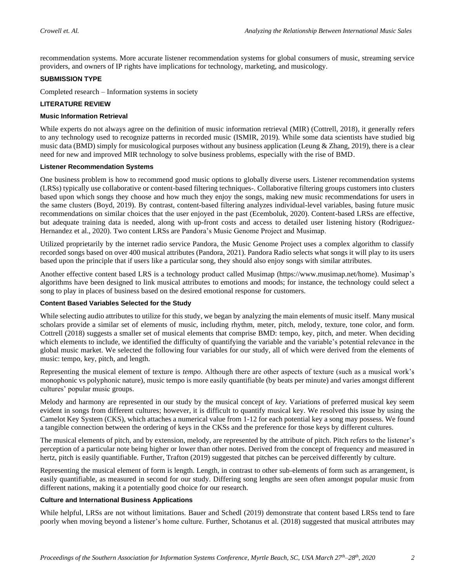recommendation systems. More accurate listener recommendation systems for global consumers of music, streaming service providers, and owners of IP rights have implications for technology, marketing, and musicology.

#### **SUBMISSION TYPE**

Completed research – Information systems in society

#### **LITERATURE REVIEW**

#### **Music Information Retrieval**

While experts do not always agree on the definition of music information retrieval (MIR) (Cottrell, 2018), it generally refers to any technology used to recognize patterns in recorded music (ISMIR, 2019). While some data scientists have studied big music data (BMD) simply for musicological purposes without any business application (Leung & Zhang, 2019), there is a clear need for new and improved MIR technology to solve business problems, especially with the rise of BMD.

#### **Listener Recommendation Systems**

One business problem is how to recommend good music options to globally diverse users. Listener recommendation systems (LRSs) typically use collaborative or content-based filtering techniques-. Collaborative filtering groups customers into clusters based upon which songs they choose and how much they enjoy the songs, making new music recommendations for users in the same clusters (Boyd, 2019). By contrast, content-based filtering analyzes individual-level variables, basing future music recommendations on similar choices that the user enjoyed in the past (Ecemboluk, 2020). Content-based LRSs are effective, but adequate training data is needed, along with up-front costs and access to detailed user listening history (Rodriguez-Hernandez et al., 2020). Two content LRSs are Pandora's Music Genome Project and Musimap.

Utilized proprietarily by the internet radio service Pandora, the Music Genome Project uses a complex algorithm to classify recorded songs based on over 400 musical attributes (Pandora, 2021). Pandora Radio selects what songs it will play to its users based upon the principle that if users like a particular song, they should also enjoy songs with similar attributes.

Another effective content based LRS is a technology product called Musimap (https://www.musimap.net/home). Musimap's algorithms have been designed to link musical attributes to emotions and moods; for instance, the technology could select a song to play in places of business based on the desired emotional response for customers.

# **Content Based Variables Selected for the Study**

While selecting audio attributes to utilize for this study, we began by analyzing the main elements of music itself. Many musical scholars provide a similar set of elements of music, including rhythm, meter, pitch, melody, texture, tone color, and form. Cottrell (2018) suggests a smaller set of musical elements that comprise BMD: tempo, key, pitch, and meter. When deciding which elements to include, we identified the difficulty of quantifying the variable and the variable's potential relevance in the global music market. We selected the following four variables for our study, all of which were derived from the elements of music: tempo, key, pitch, and length.

Representing the musical element of texture is *tempo*. Although there are other aspects of texture (such as a musical work's monophonic vs polyphonic nature), music tempo is more easily quantifiable (by beats per minute) and varies amongst different cultures' popular music groups.

Melody and harmony are represented in our study by the musical concept of *key*. Variations of preferred musical key seem evident in songs from different cultures; however, it is difficult to quantify musical key. We resolved this issue by using the Camelot Key System (CKS), which attaches a numerical value from 1-12 for each potential key a song may possess. We found a tangible connection between the ordering of keys in the CKSs and the preference for those keys by different cultures.

The musical elements of pitch, and by extension, melody, are represented by the attribute of pitch. Pitch refers to the listener's perception of a particular note being higher or lower than other notes. Derived from the concept of frequency and measured in hertz, pitch is easily quantifiable. Further, Trafton (2019) suggested that pitches can be perceived differently by culture.

Representing the musical element of form is length. Length, in contrast to other sub-elements of form such as arrangement, is easily quantifiable, as measured in second for our study. Differing song lengths are seen often amongst popular music from different nations, making it a potentially good choice for our research.

#### **Culture and International Business Applications**

While helpful, LRSs are not without limitations. Bauer and Schedl (2019) demonstrate that content based LRSs tend to fare poorly when moving beyond a listener's home culture. Further, Schotanus et al. (2018) suggested that musical attributes may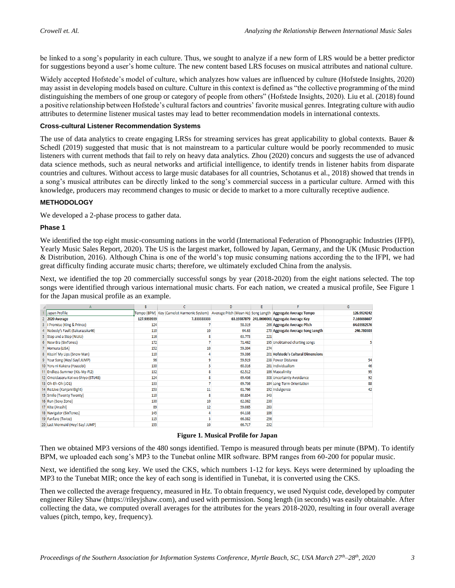be linked to a song's popularity in each culture. Thus, we sought to analyze if a new form of LRS would be a better predictor for suggestions beyond a user's home culture. The new content based LRS focuses on musical attributes and national culture.

Widely accepted Hofstede's model of culture, which analyzes how values are influenced by culture (Hofstede Insights, 2020) may assist in developing models based on culture. Culture in this context is defined as "the collective programming of the mind distinguishing the members of one group or category of people from others" (Hofstede Insights, 2020). Liu et al. (2018) found a positive relationship between Hofstede's cultural factors and countries' favorite musical genres. Integrating culture with audio attributes to determine listener musical tastes may lead to better recommendation models in international contexts.

#### **Cross-cultural Listener Recommendation Systems**

The use of data analytics to create engaging LRSs for streaming services has great applicability to global contexts. Bauer & Schedl (2019) suggested that music that is not mainstream to a particular culture would be poorly recommended to music listeners with current methods that fail to rely on heavy data analytics. Zhou (2020) concurs and suggests the use of advanced data science methods, such as neural networks and artificial intelligence, to identify trends in listener habits from disparate countries and cultures. Without access to large music databases for all countries, Schotanus et al., 2018) showed that trends in a song's musical attributes can be directly linked to the song's commercial success in a particular culture. Armed with this knowledge, producers may recommend changes to music or decide to market to a more culturally receptive audience.

#### **METHODOLOGY**

We developed a 2-phase process to gather data.

#### **Phase 1**

We identified the top eight music-consuming nations in the world (International Federation of Phonographic Industries (IFPI), Yearly Music Sales Report, 2020). The US is the largest market, followed by Japan, Germany, and the UK (Music Production & Distribution, 2016). Although China is one of the world's top music consuming nations according the to the IFPI, we had great difficulty finding accurate music charts; therefore, we ultimately excluded China from the analysis.

Next, we identified the top 20 commercially successful songs by year (2018-2020) from the eight nations selected. The top songs were identified through various international music charts. For each nation, we created a musical profile, See Figure 1 for the Japan musical profile as an example.

|                                    | B           | C                                                                                                     | D      | E   |                                               | G           |
|------------------------------------|-------------|-------------------------------------------------------------------------------------------------------|--------|-----|-----------------------------------------------|-------------|
| Japan Profile                      |             | Tempo (BPM) Key (Camelot Harmonic System) Average Pitch (Mean Hz) Song Length Aggregate Average Tempo |        |     |                                               | 126.9924242 |
| 2020 Average                       | 127.9393939 | 7.333333333                                                                                           |        |     | 63.19387879 241.0606061 Aggregate Average Key | 7.166666667 |
| 3   Promise (King & Prince)        | 124         |                                                                                                       | 58.319 |     | 266 Aggregate Average Pitch                   | 64.03982576 |
| 4 Nobody's Fault (Sakurazaka46)    | 110         | 10 <sup>1</sup>                                                                                       | 64.63  |     | 270 Aggregate Average Song Length             | 246.780303  |
| 5 Step and a Step (NiziU)          | 116         |                                                                                                       | 63.773 | 221 |                                               |             |
| 6 New Era (SixTones)               | 172         |                                                                                                       | 71.462 |     | 195 Unobtained charting songs                 |             |
| 7 Homura (LiSA)                    | 152         | 10                                                                                                    | 59.304 | 274 |                                               |             |
| 8 Kissin' My Lips (Snow Man)       | 110         |                                                                                                       | 59.386 |     | 201 Hofstede's Cultural Dimensions            |             |
| 9 Your Song (Hey! Say! JUMP)       | 96          | q                                                                                                     | 59.919 |     | 238 Power Distance                            | 54          |
| 10 Yoru ni Kakeru (Yoasobi)        | 130         |                                                                                                       | 60.316 |     | 281 Individualism                             | 46          |
| 11 Endless Summer (Kis-My-Ft2)     | 132         |                                                                                                       | 62.512 |     | 186 Masculinity                               | 95          |
| 12 Omoidaseru Koi wo Shiyo (STU48) | 124         |                                                                                                       | 69.436 |     | 308 Uncertainty Avoidance                     | 92          |
| 13 Oh-Eh-Oh (JO1)                  | 133         |                                                                                                       | 69.736 |     | 184 Long-Term Orientation                     | 88          |
| 14 Re:Live (Kanjani Eight)         | 153         | 11                                                                                                    | 61.766 |     | 192 Indulgence                                | 42          |
| 15 Smile (Twenty Twenty)           | 110         | 8                                                                                                     | 60.854 | 343 |                                               |             |
| 16 Run (Sexy Zone)                 | 130         | 10                                                                                                    | 62.362 | 230 |                                               |             |
| 17 Kite (Arashi)                   | 89          | 12                                                                                                    | 59.065 | 283 |                                               |             |
| 18 Navigator (SixTones)            | 145         |                                                                                                       | 64.138 | 186 |                                               |             |
| 19 Fanfare (Twice)                 | 115         |                                                                                                       | 66.382 | 256 |                                               |             |
| 20 Last Mermaid (Hey! Say! JUMP)   | 155         | 10 <sup>°</sup>                                                                                       | 66.717 | 232 |                                               |             |

#### **Figure 1. Musical Profile for Japan**

Then we obtained MP3 versions of the 480 songs identified. Tempo is measured through beats per minute (BPM). To identify BPM, we uploaded each song's MP3 to the Tunebat online MIR software. BPM ranges from 60-200 for popular music.

Next, we identified the song key. We used the CKS, which numbers 1-12 for keys. Keys were determined by uploading the MP3 to the Tunebat MIR; once the key of each song is identified in Tunebat, it is converted using the CKS.

Then we collected the average frequency, measured in Hz. To obtain frequency, we used Nyquist code, developed by computer engineer Riley Shaw (https://rileyjshaw.com), and used with permission. Song length (in seconds) was easily obtainable. After collecting the data, we computed overall averages for the attributes for the years 2018-2020, resulting in four overall average values (pitch, tempo, key, frequency).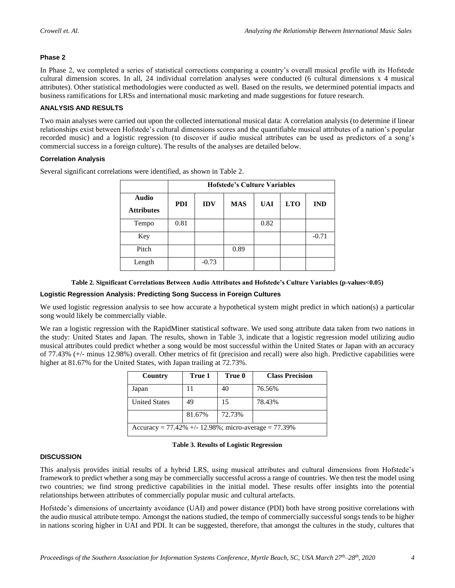# **Phase 2**

In Phase 2, we completed a series of statistical corrections comparing a country's overall musical profile with its Hofstede cultural dimension scores. In all, 24 individual correlation analyses were conducted (6 cultural dimensions x 4 musical attributes). Other statistical methodologies were conducted as well. Based on the results, we determined potential impacts and business ramifications for LRSs and international music marketing and made suggestions for future research.

# **ANALYSIS AND RESULTS**

Two main analyses were carried out upon the collected international musical data: A correlation analysis (to determine if linear relationships exist between Hofstede's cultural dimensions scores and the quantifiable musical attributes of a nation's popular recorded music) and a logistic regression (to discover if audio musical attributes can be used as predictors of a song's commercial success in a foreign culture). The results of the analyses are detailed below.

# **Correlation Analysis**

|                                   | <b>Hofstede's Culture Variables</b> |            |            |            |            |            |  |
|-----------------------------------|-------------------------------------|------------|------------|------------|------------|------------|--|
| <b>Audio</b><br><b>Attributes</b> | <b>PDI</b>                          | <b>IDV</b> | <b>MAS</b> | <b>UAI</b> | <b>LTO</b> | <b>IND</b> |  |
| Tempo                             | 0.81                                |            |            | 0.82       |            |            |  |
| Key                               |                                     |            |            |            |            | $-0.71$    |  |
| Pitch                             |                                     |            | 0.89       |            |            |            |  |
| Length                            |                                     | $-0.73$    |            |            |            |            |  |

Several significant correlations were identified, as shown in Table 2.

#### **Table 2. Significant Correlations Between Audio Attributes and Hofstede's Culture Variables (p-values<0.05)**

#### **Logistic Regression Analysis: Predicting Song Success in Foreign Cultures**

We used logistic regression analysis to see how accurate a hypothetical system might predict in which nation(s) a particular song would likely be commercially viable.

We ran a logistic regression with the RapidMiner statistical software. We used song attribute data taken from two nations in the study: United States and Japan. The results, shown in Table 3, indicate that a logistic regression model utilizing audio musical attributes could predict whether a song would be most successful within the United States or Japan with an accuracy of 77.43% (+/- minus 12.98%) overall. Other metrics of fit (precision and recall) were also high. Predictive capabilities were higher at 81.67% for the United States, with Japan trailing at 72.73%.

| Country                                                    | True 1 | True 0 | <b>Class Precision</b> |  |  |  |
|------------------------------------------------------------|--------|--------|------------------------|--|--|--|
| Japan                                                      |        | 40     | 76.56%                 |  |  |  |
| <b>United States</b>                                       | 49     | 15     | 78.43%                 |  |  |  |
| 81.67%<br>72.73%                                           |        |        |                        |  |  |  |
| Accuracy = $77.42\%$ +/- 12.98%; micro-average = $77.39\%$ |        |        |                        |  |  |  |

**Table 3. Results of Logistic Regression**

# **DISCUSSION**

This analysis provides initial results of a hybrid LRS, using musical attributes and cultural dimensions from Hofstede's framework to predict whether a song may be commercially successful across a range of countries. We then test the model using two countries; we find strong predictive capabilities in the initial model. These results offer insights into the potential relationships between attributes of commercially popular music and cultural artefacts.

Hofstede's dimensions of uncertainty avoidance (UAI) and power distance (PDI) both have strong positive correlations with the audio musical attribute tempo. Amongst the nations studied, the tempo of commercially successful songs tends to be higher in nations scoring higher in UAI and PDI. It can be suggested, therefore, that amongst the cultures in the study, cultures that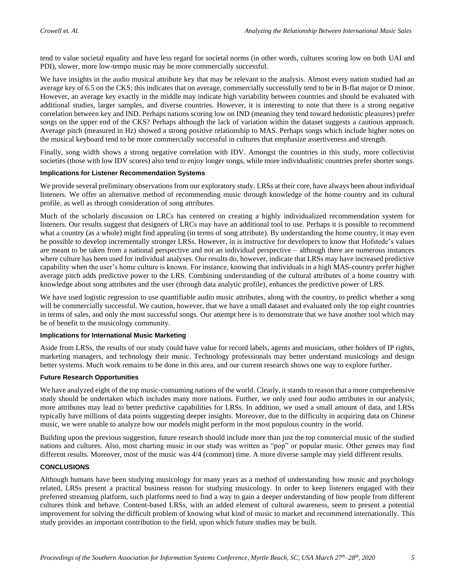tend to value societal equality and have less regard for societal norms (in other words, cultures scoring low on both UAI and PDI), slower, more low-tempo music may be more commercially successful.

We have insights in the audio musical attribute key that may be relevant to the analysis. Almost every nation studied had an average key of 6.5 on the CKS; this indicates that on average, commercially successfully tend to be in B-flat major or D minor. However, an average key exactly in the middle may indicate high variability between countries and should be evaluated with additional studies, larger samples, and diverse countries. However, it is interesting to note that there is a strong negative correlation between key and IND. Perhaps nations scoring low on IND (meaning they tend toward hedonistic pleasures) prefer songs on the upper end of the CKS? Perhaps although the lack of variation within the dataset suggests a cautious approach. Average pitch (measured in Hz) showed a strong positive relationship to MAS. Perhaps songs which include higher notes on the musical keyboard tend to be more commercially successful in cultures that emphasize assertiveness and strength.

Finally, song width shows a strong negative correlation with IDV. Amongst the countries in this study, more collectivist societies (those with low IDV scores) also tend to enjoy longer songs, while more individualistic countries prefer shorter songs.

#### **Implications for Listener Recommendation Systems**

We provide several preliminary observations from our exploratory study. LRSs at their core, have always been about individual listeners. We offer an alternative method of recommending music through knowledge of the home country and its cultural profile, as well as through consideration of song attributes.

Much of the scholarly discussion on LRCs has centered on creating a highly individualized recommendation system for listeners. Our results suggest that designers of LRCs may have an additional tool to use. Perhaps it is possible to recommend what a country (as a whole) might find appealing (in terms of song attribute). By understanding the home country, it may even be possible to develop incrementally stronger LRSs. However, in is instructive for developers to know that Hofstede's values are meant to be taken from a national perspective and not an individual perspective – although there are numerous instances where culture has been used for individual analyses. Our results do, however, indicate that LRSs may have increased predictive capability when the user's home culture is known. For instance, knowing that individuals in a high MAS-country prefer higher average pitch adds predictive power to the LRS. Combining understanding of the cultural attributes of a home country with knowledge about song attributes and the user (through data analytic profile), enhances the predictive power of LRS.

We have used logistic regression to use quantifiable audio music attributes, along with the country, to predict whether a song will be commercially successful. We caution, however, that we have a small dataset and evaluated only the top eight countries in terms of sales, and only the most successful songs. Our attempt here is to demonstrate that we have another tool which may be of benefit to the musicology community.

#### **Implications for International Music Marketing**

Aside from LRSs, the results of our study could have value for record labels, agents and musicians, other holders of IP rights, marketing managers, and technology their music. Technology professionals may better understand musicology and design better systems. Much work remains to be done in this area, and our current research shows one way to explore further.

#### **Future Research Opportunities**

We have analyzed eight of the top music-consuming nations of the world. Clearly, it stands to reason that a more comprehensive study should be undertaken which includes many more nations. Further, we only used four audio attributes in our analysis; more attributes may lead to better predictive capabilities for LRSs. In addition, we used a small amount of data, and LRSs typically have millions of data points suggesting deeper insights. Moreover, due to the difficulty in acquiring data on Chinese music, we were unable to analyze how our models might perform in the most populous country in the world.

Building upon the previous suggestion, future research should include more than just the top commercial music of the studied nations and cultures. Also, most charting music in our study was written as "pop" or popular music. Other genres may find different results. Moreover, most of the music was 4/4 (common) time. A more diverse sample may yield different results.

# **CONCLUSIONS**

Although humans have been studying musicology for many years as a method of understanding how music and psychology related, LRSs present a practical business reason for studying musicology. In order to keep listeners engaged with their preferred streaming platform, such platforms need to find a way to gain a deeper understanding of how people from different cultures think and behave. Content-based LRSs, with an added element of cultural awareness, seem to present a potential improvement for solving the difficult problem of knowing what kind of music to market and recommend internationally. This study provides an important contribution to the field, upon which future studies may be built.